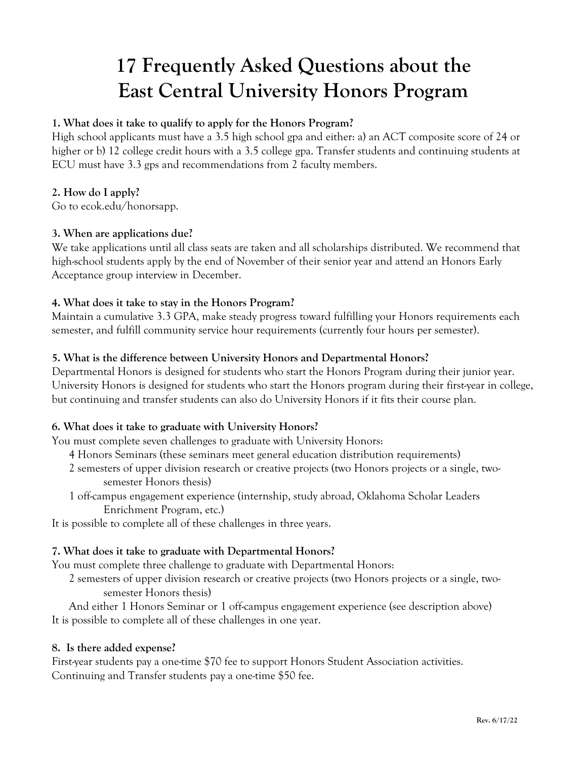# **17 Frequently Asked Questions about the East Central University Honors Program**

#### **1. What does it take to qualify to apply for the Honors Program?**

High school applicants must have a 3.5 high school gpa and either: a) an ACT composite score of 24 or higher or b) 12 college credit hours with a 3.5 college gpa. Transfer students and continuing students at ECU must have 3.3 gps and recommendations from 2 faculty members.

## **2. How do I apply?**

Go to ecok.edu/honorsapp.

#### **3. When are applications due?**

We take applications until all class seats are taken and all scholarships distributed. We recommend that high-school students apply by the end of November of their senior year and attend an Honors Early Acceptance group interview in December.

## **4. What does it take to stay in the Honors Program?**

Maintain a cumulative 3.3 GPA, make steady progress toward fulfilling your Honors requirements each semester, and fulfill community service hour requirements (currently four hours per semester).

#### **5. What is the difference between University Honors and Departmental Honors?**

Departmental Honors is designed for students who start the Honors Program during their junior year. University Honors is designed for students who start the Honors program during their first-year in college, but continuing and transfer students can also do University Honors if it fits their course plan.

#### **6. What does it take to graduate with University Honors?**

You must complete seven challenges to graduate with University Honors:

- 4 Honors Seminars (these seminars meet general education distribution requirements)
- 2 semesters of upper division research or creative projects (two Honors projects or a single, twosemester Honors thesis)
- 1 off-campus engagement experience (internship, study abroad, Oklahoma Scholar Leaders Enrichment Program, etc.)

It is possible to complete all of these challenges in three years.

#### **7. What does it take to graduate with Departmental Honors?**

You must complete three challenge to graduate with Departmental Honors:

2 semesters of upper division research or creative projects (two Honors projects or a single, twosemester Honors thesis)

And either 1 Honors Seminar or 1 off-campus engagement experience (see description above) It is possible to complete all of these challenges in one year.

#### **8. Is there added expense?**

First-year students pay a one-time \$70 fee to support Honors Student Association activities. Continuing and Transfer students pay a one-time \$50 fee.